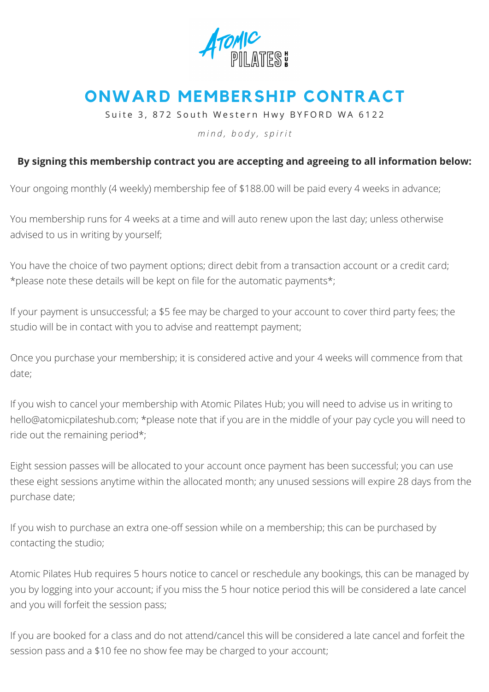

## **ONWARD MEMBERSHIP CONTRACT**

Suite 3, 872 South Western Hwy BYFORD WA 6122

*m i n d , b o d y , s p i r i t*

## **By signing this membership contract you are accepting and agreeing to all information below:**

Your ongoing monthly (4 weekly) membership fee of \$188.00 will be paid every 4 weeks in advance;

You membership runs for 4 weeks at a time and will auto renew upon the last day; unless otherwise advised to us in writing by yourself;

You have the choice of two payment options; direct debit from a transaction account or a credit card; \*please note these details will be kept on file for the automatic payments\*;

If your payment is unsuccessful; a \$5 fee may be charged to your account to cover third party fees; the studio will be in contact with you to advise and reattempt payment;

Once you purchase your membership; it is considered active and your 4 weeks will commence from that date;

If you wish to cancel your membership with Atomic Pilates Hub; you will need to advise us in writing to [hello@atomicpilateshub.com;](mailto:hello@atomicpilates.com.au) \*please note that if you are in the middle of your pay cycle you will need to ride out the remaining period\*;

Eight session passes will be allocated to your account once payment has been successful; you can use these eight sessions anytime within the allocated month; any unused sessions will expire 28 days from the purchase date;

If you wish to purchase an extra one-off session while on a membership; this can be purchased by contacting the studio;

Atomic Pilates Hub requires 5 hours notice to cancel or reschedule any bookings, this can be managed by you by logging into your account; if you miss the 5 hour notice period this will be considered a late cancel and you will forfeit the session pass;

If you are booked for a class and do not attend/cancel this will be considered a late cancel and forfeit the session pass and a \$10 fee no show fee may be charged to your account;